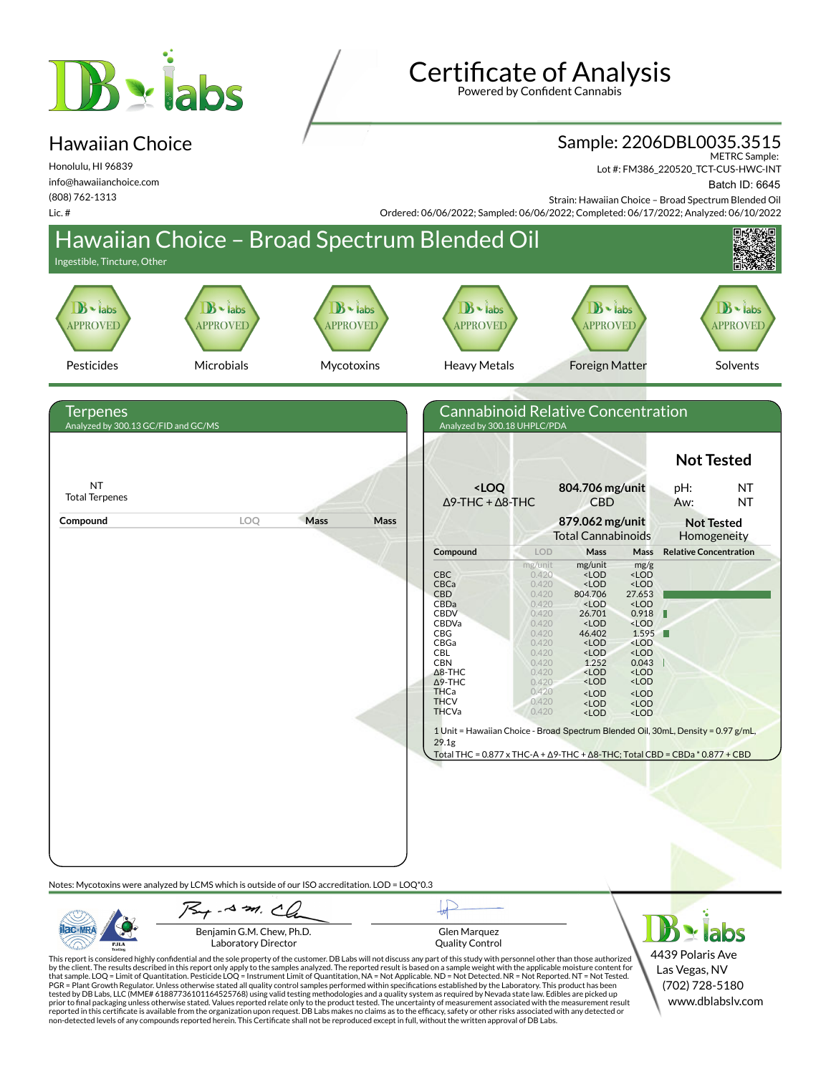# **B** siabs

# Hawaiian Choice

Honolulu, HI 96839 info@hawaiianchoice.com (808) 762-1313 Lic. #

Certificate of Analysis

Powered by Confident Cannabis

#### Sample: 2206DBL0035.3515

METRC Sample:

Lot #: FM386\_220520\_TCT-CUS-HWC-INT

Batch ID: 6645

Strain: Hawaiian Choice – Broad Spectrum Blended Oil Ordered: 06/06/2022; Sampled: 06/06/2022; Completed: 06/17/2022; Analyzed: 06/10/2022



PJLA

**AC-MR** 



Glen Marquez Quality Control

This report is considered highly confidential and the sole property of the customer. DB Labs will not discuss any part of this study with personnel other than those authorized<br>by the client. The results described in this r tested by DB Labs, LLC (MME# 61887736101164525768) using valid testing methodologies and a quality system as required by Nevada state law. Edibles are picked up<br>prior to final packaging unless otherwise stated. Values repo